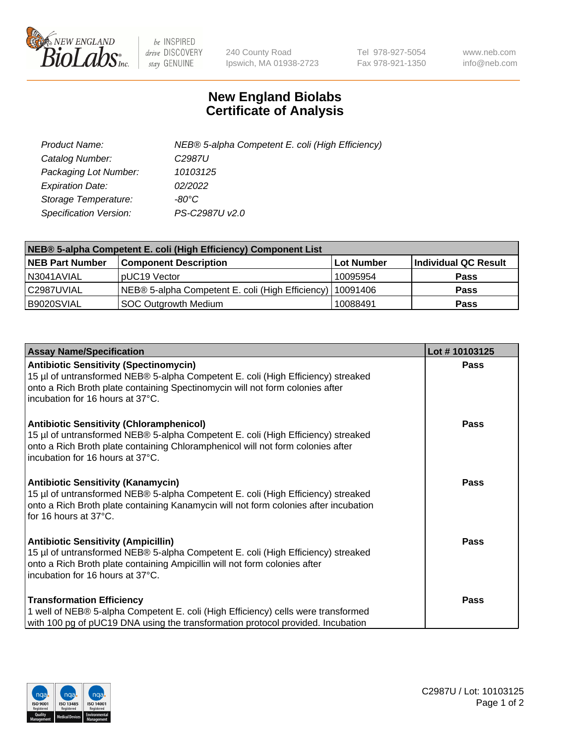

 $be$  INSPIRED drive DISCOVERY stay GENUINE

240 County Road Ipswich, MA 01938-2723 Tel 978-927-5054 Fax 978-921-1350 www.neb.com info@neb.com

## **New England Biolabs Certificate of Analysis**

| Product Name:           | NEB® 5-alpha Competent E. coli (High Efficiency) |
|-------------------------|--------------------------------------------------|
| Catalog Number:         | C <sub>2987</sub> U                              |
| Packaging Lot Number:   | 10103125                                         |
| <b>Expiration Date:</b> | 02/2022                                          |
| Storage Temperature:    | -80°C                                            |
| Specification Version:  | PS-C2987U v2.0                                   |

| NEB® 5-alpha Competent E. coli (High Efficiency) Component List |                                                             |            |                      |  |
|-----------------------------------------------------------------|-------------------------------------------------------------|------------|----------------------|--|
| <b>NEB Part Number</b>                                          | <b>Component Description</b>                                | Lot Number | Individual QC Result |  |
| N3041AVIAL                                                      | pUC19 Vector                                                | 10095954   | <b>Pass</b>          |  |
| C2987UVIAL                                                      | NEB® 5-alpha Competent E. coli (High Efficiency)   10091406 |            | <b>Pass</b>          |  |
| B9020SVIAL                                                      | <b>SOC Outgrowth Medium</b>                                 | 10088491   | <b>Pass</b>          |  |

| <b>Assay Name/Specification</b>                                                                                                                                                                                                                            | Lot #10103125 |
|------------------------------------------------------------------------------------------------------------------------------------------------------------------------------------------------------------------------------------------------------------|---------------|
| <b>Antibiotic Sensitivity (Spectinomycin)</b><br>15 µl of untransformed NEB® 5-alpha Competent E. coli (High Efficiency) streaked<br>onto a Rich Broth plate containing Spectinomycin will not form colonies after<br>incubation for 16 hours at 37°C.     | <b>Pass</b>   |
| <b>Antibiotic Sensitivity (Chloramphenicol)</b><br>15 µl of untransformed NEB® 5-alpha Competent E. coli (High Efficiency) streaked<br>onto a Rich Broth plate containing Chloramphenicol will not form colonies after<br>incubation for 16 hours at 37°C. | Pass          |
| <b>Antibiotic Sensitivity (Kanamycin)</b><br>15 µl of untransformed NEB® 5-alpha Competent E. coli (High Efficiency) streaked<br>onto a Rich Broth plate containing Kanamycin will not form colonies after incubation<br>for 16 hours at 37°C.             | <b>Pass</b>   |
| <b>Antibiotic Sensitivity (Ampicillin)</b><br>15 µl of untransformed NEB® 5-alpha Competent E. coli (High Efficiency) streaked<br>onto a Rich Broth plate containing Ampicillin will not form colonies after<br>incubation for 16 hours at 37°C.           | <b>Pass</b>   |
| <b>Transformation Efficiency</b><br>1 well of NEB® 5-alpha Competent E. coli (High Efficiency) cells were transformed<br>with 100 pg of pUC19 DNA using the transformation protocol provided. Incubation                                                   | Pass          |